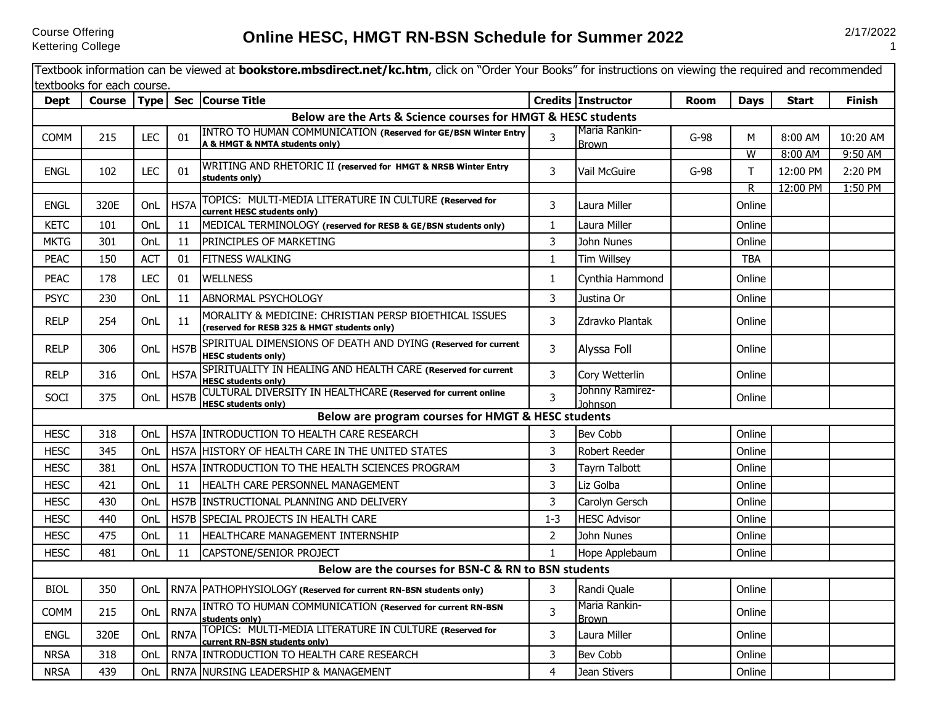## **Online HESC, HMGT RN-BSN Schedule for Summer 2022** 2/17/2022

|             | textbooks for each course. |            |      | Textbook information can be viewed at <b>bookstore.mbsdirect.net/kc.htm</b> , click on "Order Your Books" for instructions on viewing the required and recommended |                |                               |        |             |              |               |
|-------------|----------------------------|------------|------|--------------------------------------------------------------------------------------------------------------------------------------------------------------------|----------------|-------------------------------|--------|-------------|--------------|---------------|
| <b>Dept</b> |                            |            |      | Course   Type   Sec   Course Title                                                                                                                                 |                | Credits Instructor            | Room   | <b>Days</b> | <b>Start</b> | <b>Finish</b> |
|             |                            |            |      | Below are the Arts & Science courses for HMGT & HESC students                                                                                                      |                |                               |        |             |              |               |
| <b>COMM</b> | 215                        | <b>LEC</b> | 01   | INTRO TO HUMAN COMMUNICATION (Reserved for GE/BSN Winter Entry<br>A & HMGT & NMTA students only)                                                                   | 3              | Maria Rankin-<br><b>Brown</b> | $G-98$ | М           | 8:00 AM      | 10:20 AM      |
|             |                            |            |      |                                                                                                                                                                    |                |                               |        | W           | 8:00 AM      | 9:50 AM       |
| <b>ENGL</b> | 102                        | <b>LEC</b> | 01   | WRITING AND RHETORIC II (reserved for HMGT & NRSB Winter Entry<br>students only)                                                                                   | 3              | <b>Vail McGuire</b>           | $G-98$ | T           | 12:00 PM     | 2:20 PM       |
| <b>ENGL</b> | 320E                       | OnL        | HS7A | TOPICS: MULTI-MEDIA LITERATURE IN CULTURE (Reserved for<br>current HESC students only)                                                                             | 3              | Laura Miller                  |        | R<br>Online | 12:00 PM     | 1:50 PM       |
| <b>KETC</b> | 101                        | OnL        | 11   | MEDICAL TERMINOLOGY (reserved for RESB & GE/BSN students only)                                                                                                     | $\mathbf{1}$   | Laura Miller                  |        | Online      |              |               |
| <b>MKTG</b> | 301                        | OnL        | 11   | PRINCIPLES OF MARKETING                                                                                                                                            | 3              | John Nunes                    |        | Online      |              |               |
| <b>PEAC</b> | 150                        | <b>ACT</b> | 01   | <b>FITNESS WALKING</b>                                                                                                                                             | $\mathbf{1}$   | <b>Tim Willsey</b>            |        | <b>TBA</b>  |              |               |
| <b>PEAC</b> | 178                        | <b>LEC</b> | 01   | <b>WELLNESS</b>                                                                                                                                                    | $\mathbf{1}$   | Cynthia Hammond               |        | Online      |              |               |
| <b>PSYC</b> | 230                        | OnL        | 11   | ABNORMAL PSYCHOLOGY                                                                                                                                                | 3              | Justina Or                    |        | Online      |              |               |
| <b>RELP</b> | 254                        | OnL        | 11   | MORALITY & MEDICINE: CHRISTIAN PERSP BIOETHICAL ISSUES<br>(reserved for RESB 325 & HMGT students only)                                                             | 3              | Zdravko Plantak               |        | Online      |              |               |
| <b>RELP</b> | 306                        | OnL        | HS7B | SPIRITUAL DIMENSIONS OF DEATH AND DYING (Reserved for current<br><b>HESC students only)</b>                                                                        | 3              | Alyssa Foll                   |        | Online      |              |               |
| <b>RELP</b> | 316                        | OnL        | HS7A | SPIRITUALITY IN HEALING AND HEALTH CARE (Reserved for current<br><b>HESC students only)</b>                                                                        | 3              | Cory Wetterlin                |        | Online      |              |               |
| SOCI        | 375                        | OnL        | HS7B | CULTURAL DIVERSITY IN HEALTHCARE (Reserved for current online<br><b>HESC students only)</b>                                                                        | $\overline{3}$ | Johnny Ramirez-<br>Johnson    |        | Online      |              |               |
|             |                            |            |      | Below are program courses for HMGT & HESC students                                                                                                                 |                |                               |        |             |              |               |
| <b>HESC</b> | 318                        | OnL        |      | HS7A INTRODUCTION TO HEALTH CARE RESEARCH                                                                                                                          | 3              | <b>Bev Cobb</b>               |        | Online      |              |               |
| <b>HESC</b> | 345                        | OnL        |      | HS7A HISTORY OF HEALTH CARE IN THE UNITED STATES                                                                                                                   | 3              | <b>Robert Reeder</b>          |        | Online      |              |               |
| <b>HESC</b> | 381                        | OnL        | HS7A | <b>INTRODUCTION TO THE HEALTH SCIENCES PROGRAM</b>                                                                                                                 | 3              | Tayrn Talbott                 |        | Online      |              |               |
| <b>HESC</b> | 421                        | OnL        | 11   | <b>HEALTH CARE PERSONNEL MANAGEMENT</b>                                                                                                                            | 3              | Liz Golba                     |        | Online      |              |               |
| <b>HESC</b> | 430                        | OnL        |      | HS7B INSTRUCTIONAL PLANNING AND DELIVERY                                                                                                                           | 3              | Carolyn Gersch                |        | Online      |              |               |
| <b>HESC</b> | 440                        | OnL        |      | HS7B SPECIAL PROJECTS IN HEALTH CARE                                                                                                                               | $1 - 3$        | <b>HESC Advisor</b>           |        | Online      |              |               |
| <b>HESC</b> | 475                        | OnL        | 11   | HEALTHCARE MANAGEMENT INTERNSHIP                                                                                                                                   | 2              | John Nunes                    |        | Online      |              |               |
| <b>HESC</b> | 481                        | OnL        | 11   | CAPSTONE/SENIOR PROJECT                                                                                                                                            | $\mathbf{1}$   | Hope Applebaum                |        | Online      |              |               |
|             |                            |            |      | Below are the courses for BSN-C & RN to BSN students                                                                                                               |                |                               |        |             |              |               |
| <b>BIOL</b> | 350                        | OnL        |      | RN7A PATHOPHYSIOLOGY (Reserved for current RN-BSN students only)                                                                                                   | 3 <sup>7</sup> | Randi Quale                   |        | Online      |              |               |
| <b>COMM</b> | 215                        | OnL        | RN7A | <b>INTRO TO HUMAN COMMUNICATION (Reserved for current RN-BSN</b><br>students only)                                                                                 | $\overline{3}$ | Maria Rankin-<br><b>Brown</b> |        | Online      |              |               |
| <b>ENGL</b> | 320E                       | OnL        | RN7A | TOPICS: MULTI-MEDIA LITERATURE IN CULTURE (Reserved for<br>current RN-BSN students only)                                                                           | 3              | Laura Miller                  |        | Online      |              |               |
| <b>NRSA</b> | 318                        | OnL        |      | RN7A INTRODUCTION TO HEALTH CARE RESEARCH                                                                                                                          | 3              | Bev Cobb                      |        | Online      |              |               |
| <b>NRSA</b> | 439                        | OnL        |      | RN7A NURSING LEADERSHIP & MANAGEMENT                                                                                                                               | $\overline{4}$ | Jean Stivers                  |        | Online      |              |               |